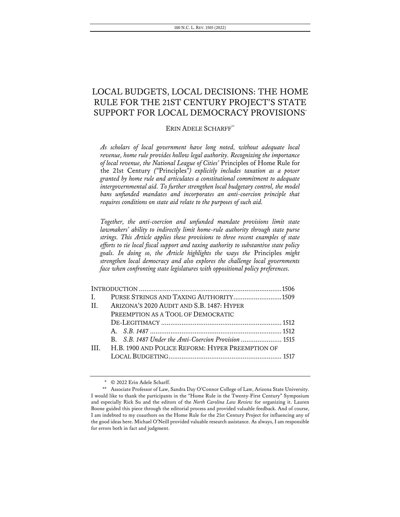## LOCAL BUDGETS, LOCAL DECISIONS: THE HOME RULE FOR THE 21ST CENTURY PROJECT'S STATE SUPPORT FOR LOCAL DEMOCRACY PROVISIONS\*

### ERIN ADELE SCHARFF\*\*

*As scholars of local government have long noted, without adequate local revenue, home rule provides hollow legal authority. Recognizing the importance of local revenue, the National League of Cities'* Principles of Home Rule for the 21st Century *("*Principles*") explicitly includes taxation as a power granted by home rule and articulates a constitutional commitment to adequate intergovernmental aid. To further strengthen local budgetary control, the model bans unfunded mandates and incorporates an anti-coercion principle that requires conditions on state aid relate to the purposes of such aid.* 

*Together, the anti-coercion and unfunded mandate provisions limit state lawmakers' ability to indirectly limit home-rule authority through state purse strings. This Article applies these provisions to three recent examples of state efforts to tie local fiscal support and taxing authority to substantive state policy goals. In doing so, the Article highlights the ways the* Principles *might strengthen local democracy and also explores the challenge local governments face when confronting state legislatures with oppositional policy preferences.* 

| $\mathbf{L}$ | PURSE STRINGS AND TAXING AUTHORITY1509               |  |
|--------------|------------------------------------------------------|--|
| $\Pi$ .      | ARIZONA'S 2020 AUDIT AND S.B. 1487: HYPER            |  |
|              | PREEMPTION AS A TOOL OF DEMOCRATIC                   |  |
|              |                                                      |  |
|              |                                                      |  |
|              | B. S.B. 1487 Under the Anti-Coercion Provision  1515 |  |
| Ш            | H.B. 1900 AND POLICE REFORM: HYPER PREEMPTION OF     |  |
|              |                                                      |  |
|              |                                                      |  |

<sup>\*</sup> © 2022 Erin Adele Scharff.

<sup>\*\*</sup> Associate Professor of Law, Sandra Day O'Connor College of Law, Arizona State University. I would like to thank the participants in the "Home Rule in the Twenty-First Century" Symposium and especially Rick Su and the editors of the *North Carolina Law Review* for organizing it. Lauren Boone guided this piece through the editorial process and provided valuable feedback. And of course, I am indebted to my coauthors on the Home Rule for the 21st Century Project for influencing any of the good ideas here. Michael O'Neill provided valuable research assistance. As always, I am responsible for errors both in fact and judgment.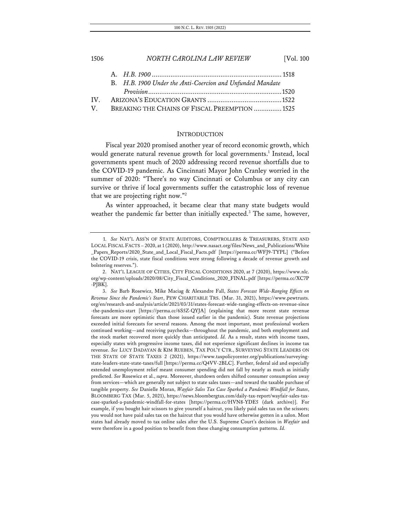# 1506 *NORTH CAROLINA LAW REVIEW* [Vol. 100 A. *H.B. 1900* ......................................................................1518

|             | B. H.B. 1900 Under the Anti-Coercion and Unfunded Mandate |                                                |
|-------------|-----------------------------------------------------------|------------------------------------------------|
|             |                                                           |                                                |
|             |                                                           |                                                |
| $\mathbf V$ |                                                           |                                                |
|             |                                                           | BREAKING THE CHAINS OF FISCAL PREEMPTION  1525 |

### INTRODUCTION

Fiscal year 2020 promised another year of record economic growth, which would generate natural revenue growth for local governments. <sup>1</sup> Instead, local governments spent much of 2020 addressing record revenue shortfalls due to the COVID-19 pandemic. As Cincinnati Mayor John Cranley worried in the summer of 2020: "There's no way Cincinnati or Columbus or any city can survive or thrive if local governments suffer the catastrophic loss of revenue that we are projecting right now."2

As winter approached, it became clear that many state budgets would weather the pandemic far better than initially expected.<sup>3</sup> The same, however,

<sup>1.</sup> *See* NAT'L ASS'N OF STATE AUDITORS, COMPTROLLERS & TREASURERS, STATE AND LOCAL FISCAL FACTS – 2020, at1(2020), http://www.nasact.org/files/News\_and\_Publications/White \_Papers\_Reports/2020\_State\_and\_Local\_Fiscal\_Facts.pdf [https://perma.cc/WFJ9-TYPL] ("Before the COVID-19 crisis, state fiscal conditions were strong following a decade of revenue growth and bolstering reserves.").

<sup>2.</sup> NAT'L LEAGUE OF CITIES, CITY FISCAL CONDITIONS 2020, at 7 (2020), https://www.nlc. org/wp-content/uploads/2020/08/City\_Fiscal\_Conditions\_2020\_FINAL.pdf [https://perma.cc/XC7P -PJBK].

<sup>3.</sup> *See* Barb Rosewicz, Mike Maciag & Alexandre Fall, *States Forecast Wide-Ranging Effects on Revenue Since the Pandemic's Start*, PEW CHARITABLE TRS. (Mar. 31, 2021), https://www.pewtrusts. org/en/research-and-analysis/article/2021/03/31/states-forecast-wide-ranging-effects-on-revenue-since -the-pandemics-start [https://perma.cc/6S5Z-QYJA] (explaining that more recent state revenue forecasts are more optimistic than those issued earlier in the pandemic). State revenue projections exceeded initial forecasts for several reasons. Among the most important, most professional workers continued working—and receiving paychecks—throughout the pandemic, and both employment and the stock market recovered more quickly than anticipated. *Id.* As a result, states with income taxes, especially states with progressive income taxes, did not experience significant declines in income tax revenue. *See* LUCY DADAYAN & KIM RUEBEN, TAX POL'Y CTR., SURVEYING STATE LEADERS ON THE STATE OF STATE TAXES 2 (2021), https://www.taxpolicycenter.org/publications/surveyingstate-leaders-state-state-taxes/full [https://perma.cc/Q4VV-2BLC]. Further, federal aid and especially extended unemployment relief meant consumer spending did not fall by nearly as much as initially predicted. *See* Rosewicz et al., *supra*. Moreover, shutdown orders shifted consumer consumption away from services—which are generally not subject to state sales taxes—and toward the taxable purchase of tangible property. *See* Danielle Moran, *Wayfair Sales Tax Case Sparked a Pandemic Windfall for States*, BLOOMBERG TAX (Mar. 5, 2021), https://news.bloombergtax.com/daily-tax-report/wayfair-sales-taxcase-sparked-a-pandemic-windfall-for-states [https://perma.cc/HVN8-YDE5 (dark archive)]. For example, if you bought hair scissors to give yourself a haircut, you likely paid sales tax on the scissors; you would not have paid sales tax on the haircut that you would have otherwise gotten in a salon. Most states had already moved to tax online sales after the U.S. Supreme Court's decision in *Wayfair* and were therefore in a good position to benefit from these changing consumption patterns. *Id.*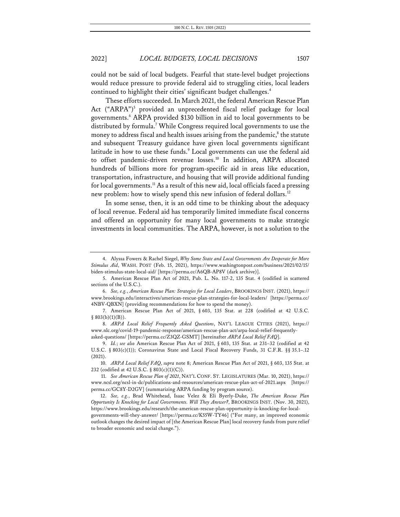could not be said of local budgets. Fearful that state-level budget projections would reduce pressure to provide federal aid to struggling cities, local leaders continued to highlight their cities' significant budget challenges.<sup>4</sup>

These efforts succeeded. In March 2021, the federal American Rescue Plan Act ("ARPA") <sup>5</sup> provided an unprecedented fiscal relief package for local governments.6 ARPA provided \$130 billion in aid to local governments to be distributed by formula.<sup>7</sup> While Congress required local governments to use the money to address fiscal and health issues arising from the pandemic, $\delta$  the statute and subsequent Treasury guidance have given local governments significant latitude in how to use these funds. <sup>9</sup> Local governments can use the federal aid to offset pandemic-driven revenue losses.<sup>10</sup> In addition, ARPA allocated hundreds of billions more for program-specific aid in areas like education, transportation, infrastructure, and housing that will provide additional funding for local governments.<sup>11</sup> As a result of this new aid, local officials faced a pressing new problem: how to wisely spend this new infusion of federal dollars.<sup>12</sup>

In some sense, then, it is an odd time to be thinking about the adequacy of local revenue. Federal aid has temporarily limited immediate fiscal concerns and offered an opportunity for many local governments to make strategic investments in local communities. The ARPA, however, is not a solution to the

10. *ARPA Local Relief FAQ*, *supra* note 8; American Rescue Plan Act of 2021, § 603, 135 Stat. at 232 (codified at 42 U.S.C. § 803(c)(1)(C)).

<sup>4.</sup> Alyssa Fowers & Rachel Siegel, *Why Some State and Local Governments Are Desperate for More Stimulus Aid*, WASH. POST (Feb. 15, 2021), https://www.washingtonpost.com/business/2021/02/15/ biden-stimulus-state-local-aid/ [https://perma.cc/A6QB-AP8V (dark archive)].

<sup>5.</sup> American Rescue Plan Act of 2021, Pub. L. No. 117-2, 135 Stat. 4 (codified in scattered sections of the U.S.C.).

<sup>6.</sup> *See, e.g.*, *American Rescue Plan: Strategies for Local Leaders*, BROOKINGS INST. (2021), https:// www.brookings.edu/interactives/american-rescue-plan-strategies-for-local-leaders/ [https://perma.cc/ 4NBV-QBXN] (providing recommendations for how to spend the money).

<sup>7.</sup> American Rescue Plan Act of 2021, § 603, 135 Stat. at 228 (codified at 42 U.S.C.  $§$  803(b)(1)(B)).

<sup>8.</sup> *ARPA Local Relief Frequently Asked Questions*, NAT'L LEAGUE CITIES (2021), https:// www.nlc.org/covid-19-pandemic-response/american-rescue-plan-act/arpa-local-relief-frequentlyasked-questions/ [https://perma.cc/Z3QZ-GSMT] [hereinafter *ARPA Local Relief FAQ*].

<sup>9.</sup> *Id.*; *see also* American Rescue Plan Act of 2021, § 603, 135 Stat. at 231–32 (codified at 42 U.S.C. § 803(c)(1)); Coronavirus State and Local Fiscal Recovery Funds, 31 C.F.R. §§ 35.1-12 (2021).

<sup>11.</sup> *See American Rescue Plan of 2021*, NAT'L CONF. ST. LEGISLATURES (Mar. 10, 2021), https:// www.ncsl.org/ncsl-in-dc/publications-and-resources/american-rescue-plan-act-of-2021.aspx [https:// perma.cc/GC8Y-D2GV] (summarizing ARPA funding by program source).

<sup>12.</sup> *See, e.g.*, Brad Whitehead, Isaac Velez & Eli Byerly-Duke, *The American Rescue Plan Opportunity Is Knocking for Local Governments. Will They Answer?*, BROOKINGS INST. (Nov. 30, 2021), https://www.brookings.edu/research/the-american-rescue-plan-opportunity-is-knocking-for-localgovernments-will-they-answer/ [https://perma.cc/K55W-TY46] ("For many, an improved economic outlook changes the desired impact of [the American Rescue Plan] local recovery funds from pure relief to broader economic and social change.").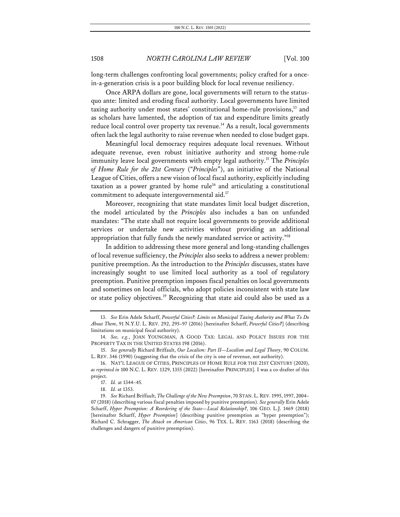long-term challenges confronting local governments; policy crafted for a oncein-a-generation crisis is a poor building block for local revenue resiliency.

Once ARPA dollars are gone, local governments will return to the statusquo ante: limited and eroding fiscal authority. Local governments have limited taxing authority under most states' constitutional home-rule provisions,<sup>13</sup> and as scholars have lamented, the adoption of tax and expenditure limits greatly reduce local control over property tax revenue.<sup>14</sup> As a result, local governments often lack the legal authority to raise revenue when needed to close budget gaps.

Meaningful local democracy requires adequate local revenues. Without adequate revenue, even robust initiative authority and strong home-rule immunity leave local governments with empty legal authority.15 The *Principles of Home Rule for the 21st Century* ("*Principles*"), an initiative of the National League of Cities, offers a new vision of local fiscal authority, explicitly including taxation as a power granted by home rule<sup>16</sup> and articulating a constitutional commitment to adequate intergovernmental aid.<sup>17</sup>

Moreover, recognizing that state mandates limit local budget discretion, the model articulated by the *Principles* also includes a ban on unfunded mandates: "The state shall not require local governments to provide additional services or undertake new activities without providing an additional appropriation that fully funds the newly mandated service or activity."18

In addition to addressing these more general and long-standing challenges of local revenue sufficiency, the *Principles* also seeks to address a newer problem: punitive preemption. As the introduction to the *Principles* discusses, states have increasingly sought to use limited local authority as a tool of regulatory preemption. Punitive preemption imposes fiscal penalties on local governments and sometimes on local officials, who adopt policies inconsistent with state law or state policy objectives.<sup>19</sup> Recognizing that state aid could also be used as a

<sup>13.</sup> *See* Erin Adele Scharff, *Powerful Cities?: Limits on Municipal Taxing Authority and What To Do About Them*, 91 N.Y.U. L. REV. 292, 295–97 (2016) [hereinafter Scharff, *Powerful Cities?*] (describing limitations on municipal fiscal authority).

<sup>14.</sup> *See, e.g.*, JOAN YOUNGMAN, A GOOD TAX: LEGAL AND POLICY ISSUES FOR THE PROPERTY TAX IN THE UNITED STATES 198 (2016).

<sup>15.</sup> *See generally* Richard Briffault, *Our Localism: Part II—Localism and Legal Theory*, 90 COLUM. L. REV. 346 (1990) (suggesting that the crisis of the city is one of revenue, not authority).

<sup>16.</sup> NAT'L LEAGUE OF CITIES, PRINCIPLES OF HOME RULE FOR THE 21ST CENTURY (2020), *as reprinted in* 100 N.C. L. REV. 1329, 1355 (2022) [hereinafter PRINCIPLES]. I was a co-drafter of this project.

<sup>17.</sup> *Id.* at 1344–45.

<sup>18.</sup> *Id.* at 1353.

<sup>19.</sup> *See* Richard Briffault, *The Challenge of the New Preemption*, 70 STAN. L. REV. 1995, 1997, 2004– 07 (2018) (describing various fiscal penalties imposed by punitive preemption). *See generally* Erin Adele Scharff, *Hyper Preemption: A Reordering of the State—Local Relationship?*, 106 GEO. L.J. 1469 (2018) [hereinafter Scharff, *Hyper Preemption*] (describing punitive preemption as "hyper preemption"); Richard C. Schragger, *The Attack on American Cities*, 96 TEX. L. REV. 1163 (2018) (describing the challenges and dangers of punitive preemption).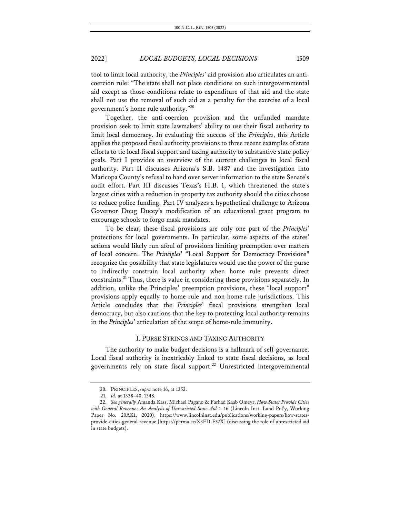tool to limit local authority, the *Principles*' aid provision also articulates an anticoercion rule: "The state shall not place conditions on such intergovernmental aid except as those conditions relate to expenditure of that aid and the state shall not use the removal of such aid as a penalty for the exercise of a local government's home rule authority."20

Together, the anti-coercion provision and the unfunded mandate provision seek to limit state lawmakers' ability to use their fiscal authority to limit local democracy. In evaluating the success of the *Principles*, this Article applies the proposed fiscal authority provisions to three recent examples of state efforts to tie local fiscal support and taxing authority to substantive state policy goals. Part I provides an overview of the current challenges to local fiscal authority. Part II discusses Arizona's S.B. 1487 and the investigation into Maricopa County's refusal to hand over server information to the state Senate's audit effort. Part III discusses Texas's H.B. 1, which threatened the state's largest cities with a reduction in property tax authority should the cities choose to reduce police funding. Part IV analyzes a hypothetical challenge to Arizona Governor Doug Ducey's modification of an educational grant program to encourage schools to forgo mask mandates.

To be clear, these fiscal provisions are only one part of the *Principles*' protections for local governments. In particular, some aspects of the states' actions would likely run afoul of provisions limiting preemption over matters of local concern. The *Principles*' "Local Support for Democracy Provisions" recognize the possibility that state legislatures would use the power of the purse to indirectly constrain local authority when home rule prevents direct constraints.21 Thus, there is value in considering these provisions separately. In addition, unlike the Principles' preemption provisions, these "local support" provisions apply equally to home-rule and non-home-rule jurisdictions. This Article concludes that the *Principles*' fiscal provisions strengthen local democracy, but also cautions that the key to protecting local authority remains in the *Principles*' articulation of the scope of home-rule immunity.

### I. PURSE STRINGS AND TAXING AUTHORITY

The authority to make budget decisions is a hallmark of self-governance. Local fiscal authority is inextricably linked to state fiscal decisions, as local governments rely on state fiscal support.<sup>22</sup> Unrestricted intergovernmental

<sup>20.</sup> PRINCIPLES, *supra* note 16, at 1352.

<sup>21.</sup> *Id.* at 1338–40, 1348.

<sup>22.</sup> *See generally* Amanda Kass, Michael Pagano & Farhad Kaab Omeyr, *How States Provide Cities with General Revenue: An Analysis of Unrestricted State Aid* 1–16 (Lincoln Inst. Land Pol'y, Working Paper No. 20AK1, 2020), https://www.lincolninst.edu/publications/working-papers/how-statesprovide-cities-general-revenue [https://perma.cc/X3FD-F57X] (discussing the role of unrestricted aid in state budgets).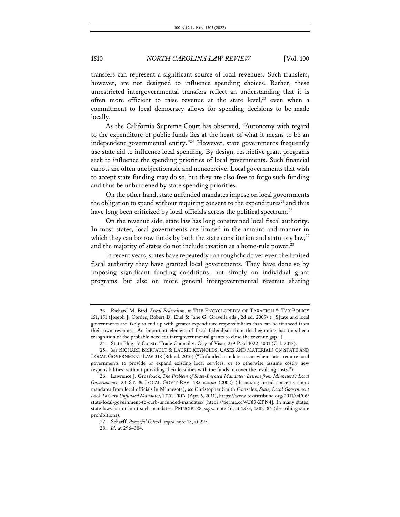transfers can represent a significant source of local revenues. Such transfers, however, are not designed to influence spending choices. Rather, these unrestricted intergovernmental transfers reflect an understanding that it is often more efficient to raise revenue at the state level,<sup>23</sup> even when a commitment to local democracy allows for spending decisions to be made locally.

As the California Supreme Court has observed, "Autonomy with regard to the expenditure of public funds lies at the heart of what it means to be an independent governmental entity."<sup>24</sup> However, state governments frequently use state aid to influence local spending. By design, restrictive grant programs seek to influence the spending priorities of local governments. Such financial carrots are often unobjectionable and noncoercive. Local governments that wish to accept state funding may do so, but they are also free to forgo such funding and thus be unburdened by state spending priorities.

On the other hand, state unfunded mandates impose on local governments the obligation to spend without requiring consent to the expenditures<sup>25</sup> and thus have long been criticized by local officials across the political spectrum.<sup>26</sup>

On the revenue side, state law has long constrained local fiscal authority. In most states, local governments are limited in the amount and manner in which they can borrow funds by both the state constitution and statutory law,<sup>27</sup> and the majority of states do not include taxation as a home-rule power.<sup>28</sup>

In recent years, states have repeatedly run roughshod over even the limited fiscal authority they have granted local governments. They have done so by imposing significant funding conditions, not simply on individual grant programs, but also on more general intergovernmental revenue sharing

<sup>23.</sup> Richard M. Bird, *Fiscal Federalism*, *in* THE ENCYCLOPEDIA OF TAXATION & TAX POLICY 151, 151 (Joseph J. Cordes, Robert D. Ehel & Jane G. Gravelle eds., 2d ed. 2005) ("[S]tate and local governments are likely to end up with greater expenditure responsibilities than can be financed from their own revenues. An important element of fiscal federalism from the beginning has thus been recognition of the probable need for intergovernmental grants to close the revenue gap.").

<sup>24.</sup> State Bldg. & Constr. Trade Council v. City of Vista, 279 P.3d 1022, 1031 (Cal. 2012).

<sup>25.</sup> *See* RICHARD BRIFFAULT & LAURIE REYNOLDS, CASES AND MATERIALS ON STATE AND LOCAL GOVERNMENT LAW 318 (8th ed. 2016) ("Unfunded mandates occur when states require local governments to provide or expand existing local services, or to otherwise assume costly new responsibilities, without providing their localities with the funds to cover the resulting costs.").

<sup>26.</sup> Lawrence J. Grossback, *The Problem of State-Imposed Mandates: Lessons from Minnesota's Local Governments*, 34 ST. & LOCAL GOV'T REV. 183 *passim* (2002) (discussing broad concerns about mandates from local officials in Minnesota); *see* Christopher Smith Gonzalez, *State, Local Government Look To Curb Unfunded Mandates*, TEX.TRIB. (Apr. 6, 2011), https://www.texastribune.org/2011/04/06/ state-local-government-to-curb-unfunded-mandates/ [https://perma.cc/4U89-ZPN4]. In many states, state laws bar or limit such mandates. PRINCIPLES, *supra* note 16, at 1373, 1382–84 (describing state prohibitions).

<sup>27.</sup> Scharff, *Powerful Cities?*, *supra* note 13, at 295.

<sup>28.</sup> *Id.* at 296–304.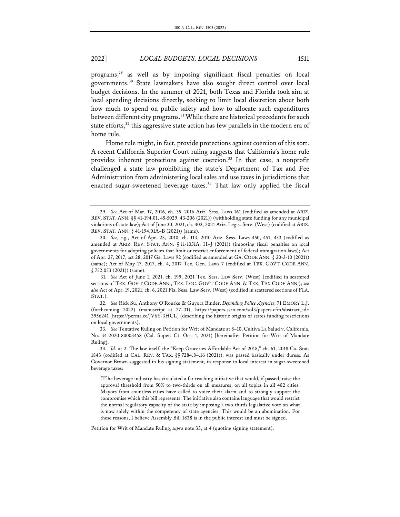programs, <sup>29</sup> as well as by imposing significant fiscal penalties on local governments.30 State lawmakers have also sought direct control over local budget decisions. In the summer of 2021, both Texas and Florida took aim at local spending decisions directly, seeking to limit local discretion about both how much to spend on public safety and how to allocate such expenditures between different city programs.<sup>31</sup> While there are historical precedents for such state efforts,<sup>32</sup> this aggressive state action has few parallels in the modern era of home rule.

Home rule might, in fact, provide protections against coercion of this sort. A recent California Superior Court ruling suggests that California's home rule provides inherent protections against coercion.<sup>33</sup> In that case, a nonprofit challenged a state law prohibiting the state's Department of Tax and Fee Administration from administering local sales and use taxes in jurisdictions that enacted sugar-sweetened beverage taxes.<sup>34</sup> That law only applied the fiscal

31. *See* Act of June 1, 2021, ch. 199, 2021 Tex. Sess. Law Serv. (West) (codified in scattered sections of TEX. GOV'T CODE ANN., TEX. LOC. GOV'T CODE ANN. & TEX. TAX CODE ANN.); *see also* Act of Apr. 19, 2021, ch. 6, 2021 Fla. Sess. Law Serv. (West) (codified in scattered sections of FLA. STAT.).

32. *See* Rick Su, Anthony O'Rourke & Guyora Binder, *Defunding Police Agencies*, 71 EMORY L.J. (forthcoming 2022) (manuscript at 27–31), https://papers.ssrn.com/sol3/papers.cfm?abstract\_id= 3956241 [https://perma.cc/JV6Y-3HCL] (describing the historic origins of states funding restrictions on local governments).

33. *See* Tentative Ruling on Petition for Writ of Mandate at 8–10, Cultiva La Salud v. California, No. 34-2020-80003458 (Cal. Super. Ct. Oct. 1, 2021) [hereinafter Petition for Writ of Mandate Ruling].

34. *Id.* at 2. The law itself, the "Keep Groceries Affordable Act of 2018," ch. 61, 2018 Ca. Stat. 1843 (codified at CAL. REV. & TAX. §§ 7284.8–.16 (2021)), was passed basically under duress. As Governor Brown suggested in his signing statement, in response to local interest in sugar-sweetened beverage taxes:

[T]he beverage industry has circulated a far reaching initiative that would, if passed, raise the approval threshold from 50% to two-thirds on all measures, on all topics in all 482 cities. Mayors from countless cities have called to voice their alarm and to strongly support the compromise which this bill represents. The initiative also contains language that would restrict the normal regulatory capacity of the state by imposing a two-thirds legislative vote on what is now solely within the competency of state agencies. This would be an abomination. For these reasons, I believe Assembly Bill 1838 is in the public interest and must be signed.

Petition for Writ of Mandate Ruling, *supra* note 33, at 4 (quoting signing statement).

<sup>29.</sup> *See* Act of Mar. 17, 2016, ch. 35, 2016 Ariz. Sess. Laws 161 (codified as amended at ARIZ. REV. STAT. ANN. §§ 41-194.01, 45-5029, 43-206 (2021)) (withholding state funding for any municipal violations of state law); Act of June 30, 2021, ch. 403, 2021 Ariz. Legis. Serv. (West) (codified at ARIZ. REV. STAT. ANN. § 41-194.01A–B (2021)) (same).

<sup>30.</sup> *See, e.g.*, Act of Apr. 23, 2010, ch. 113, 2010 Ariz. Sess. Laws 450, 451, 453 (codified as amended at ARIZ. REV. STAT. ANN. § 11-1051A, H–J (2021)) (imposing fiscal penalties on local governments for adopting policies that limit or restrict enforcement of federal immigration laws); Act of Apr. 27, 2017, act 28, 2017 Ga. Laws 92 (codified as amended at GA. CODE ANN. § 20-3-10 (2021)) (same); Act of May 17, 2017, ch. 4, 2017 Tex. Gen. Laws 7 (codified at TEX. GOV'T CODE ANN. § 752.053 (2021)) (same).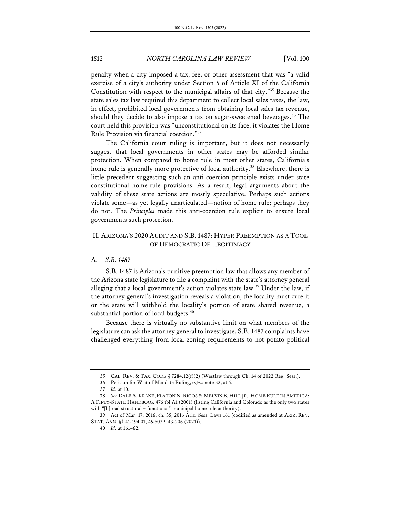penalty when a city imposed a tax, fee, or other assessment that was "a valid exercise of a city's authority under Section 5 of Article XI of the California Constitution with respect to the municipal affairs of that city."35 Because the state sales tax law required this department to collect local sales taxes, the law, in effect, prohibited local governments from obtaining local sales tax revenue, should they decide to also impose a tax on sugar-sweetened beverages.<sup>36</sup> The court held this provision was "unconstitutional on its face; it violates the Home Rule Provision via financial coercion."37

The California court ruling is important, but it does not necessarily suggest that local governments in other states may be afforded similar protection. When compared to home rule in most other states, California's home rule is generally more protective of local authority.<sup>38</sup> Elsewhere, there is little precedent suggesting such an anti-coercion principle exists under state constitutional home-rule provisions. As a result, legal arguments about the validity of these state actions are mostly speculative. Perhaps such actions violate some—as yet legally unarticulated—notion of home rule; perhaps they do not. The *Principles* made this anti-coercion rule explicit to ensure local governments such protection.

### II. ARIZONA'S 2020 AUDIT AND S.B. 1487: HYPER PREEMPTION AS A TOOL OF DEMOCRATIC DE-LEGITIMACY

### A. *S.B. 1487*

S.B. 1487 is Arizona's punitive preemption law that allows any member of the Arizona state legislature to file a complaint with the state's attorney general alleging that a local government's action violates state law.<sup>39</sup> Under the law, if the attorney general's investigation reveals a violation, the locality must cure it or the state will withhold the locality's portion of state shared revenue, a substantial portion of local budgets.<sup>40</sup>

Because there is virtually no substantive limit on what members of the legislature can ask the attorney general to investigate, S.B.1487 complaints have challenged everything from local zoning requirements to hot potato political

<sup>35.</sup> CAL. REV. & TAX. CODE § 7284.12(f)(2) (Westlaw through Ch. 14 of 2022 Reg. Sess.).

<sup>36.</sup> Petition for Writ of Mandate Ruling, *supra* note 33, at 5.

<sup>37.</sup> *Id.* at 10.

<sup>38.</sup> *See* DALE A. KRANE, PLATON N. RIGOS & MELVIN B. HILL JR., HOME RULE IN AMERICA: A FIFTY-STATE HANDBOOK 476 tbl.A1 (2001) (listing California and Colorado as the only two states with "[b]road structural + functional" municipal home rule authority).

<sup>39.</sup> Act of Mar. 17, 2016, ch. 35, 2016 Ariz. Sess. Laws 161 (codified as amended at ARIZ. REV. STAT. ANN. §§ 41-194.01, 45-5029, 43-206 (2021)).

<sup>40.</sup> *Id.* at 161–62.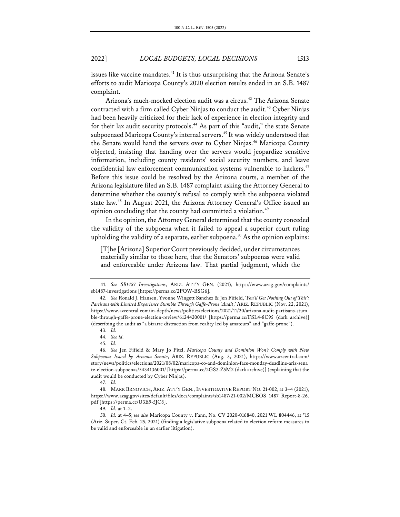issues like vaccine mandates.<sup>41</sup> It is thus unsurprising that the Arizona Senate's efforts to audit Maricopa County's 2020 election results ended in an S.B. 1487 complaint.

Arizona's much-mocked election audit was a circus.<sup>42</sup> The Arizona Senate contracted with a firm called Cyber Ninjas to conduct the audit.<sup>43</sup> Cyber Ninjas had been heavily criticized for their lack of experience in election integrity and for their lax audit security protocols.<sup>44</sup> As part of this "audit," the state Senate subpoenaed Maricopa County's internal servers.<sup>45</sup> It was widely understood that the Senate would hand the servers over to Cyber Ninjas.<sup>46</sup> Maricopa County objected, insisting that handing over the servers would jeopardize sensitive information, including county residents' social security numbers, and leave confidential law enforcement communication systems vulnerable to hackers.<sup>47</sup> Before this issue could be resolved by the Arizona courts, a member of the Arizona legislature filed an S.B. 1487 complaint asking the Attorney General to determine whether the county's refusal to comply with the subpoena violated state law.48 In August 2021, the Arizona Attorney General's Office issued an opinion concluding that the county had committed a violation.<sup>49</sup>

In the opinion, the Attorney General determined that the county conceded the validity of the subpoena when it failed to appeal a superior court ruling upholding the validity of a separate, earlier subpoena.<sup>50</sup> As the opinion explains:

[T]he [Arizona] Superior Court previously decided, under circumstances materially similar to those here, that the Senators' subpoenas were valid and enforceable under Arizona law. That partial judgment, which the

<sup>41.</sup> *See SB1487 Investigations*, ARIZ. ATT'Y GEN. (2021), https://www.azag.gov/complaints/ sb1487-investigations [https://perma.cc/2PQW-BSG6].

<sup>42.</sup> *See* Ronald J. Hansen, Yvonne Wingett Sanchez & Jen Fifield, *'You'll Get Nothing Out of This': Partisans with Limited Experience Stumble Through Gaffe-Prone 'Audit*,*'* ARIZ. REPUBLIC (Nov. 22, 2021), https://www.azcentral.com/in-depth/news/politics/elections/2021/11/20/arizona-audit-partisans-stum ble-through-gaffe-prone-election-review/6124420001/ [https://perma.cc/FSL4-8C95 (dark archive)] (describing the audit as "a bizarre distraction from reality led by amateurs" and "gaffe-prone").

<sup>43.</sup> *Id.*

<sup>44.</sup> *See id.*

<sup>45.</sup> *Id.*

<sup>46.</sup> *See* Jen Fifield & Mary Jo Pitzl, *Maricopa County and Dominion Won't Comply with New Subpoenas Issued by Arizona Senate*, ARIZ. REPUBLIC (Aug. 3, 2021), https://www.azcentral.com/ story/news/politics/elections/2021/08/02/maricopa-co-and-dominion-face-monday-deadline-ariz-sena te-election-subpoenas/5434136001/ [https://perma.cc/2GS2-Z5M2 (dark archive)] (explaining that the audit would be conducted by Cyber Ninjas).

<sup>47.</sup> *Id.*

<sup>48.</sup> MARK BRNOVICH, ARIZ. ATT'Y GEN., INVESTIGATIVE REPORT NO. 21-002, at 3–4 (2021), https://www.azag.gov/sites/default/files/docs/complaints/sb1487/21-002/MCBOS\_1487\_Report-8-26. pdf [https://perma.cc/U3E9-5JC8].

<sup>49.</sup> *Id.* at 1–2.

<sup>50.</sup> *Id.* at 4–5; *see also* Maricopa County v. Fann, No. CV 2020-016840, 2021 WL 804446, at \*15 (Ariz. Super. Ct. Feb. 25, 2021) (finding a legislative subpoena related to election reform measures to be valid and enforceable in an earlier litigation).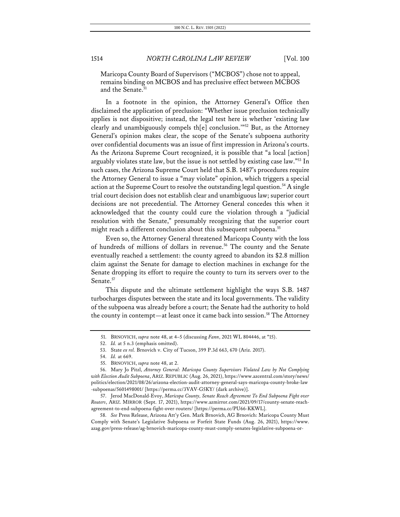Maricopa County Board of Supervisors ("MCBOS") chose not to appeal, remains binding on MCBOS and has preclusive effect between MCBOS and the Senate.<sup>5</sup>

In a footnote in the opinion, the Attorney General's Office then disclaimed the application of preclusion: "Whether issue preclusion technically applies is not dispositive; instead, the legal test here is whether 'existing law clearly and unambiguously compels th[e] conclusion.'"52 But, as the Attorney General's opinion makes clear, the scope of the Senate's subpoena authority over confidential documents was an issue of first impression in Arizona's courts. As the Arizona Supreme Court recognized, it is possible that "a local [action] arguably violates state law, but the issue is not settled by existing case law."<sup>53</sup> In such cases, the Arizona Supreme Court held that S.B. 1487's procedures require the Attorney General to issue a "may violate" opinion, which triggers a special action at the Supreme Court to resolve the outstanding legal question.<sup>54</sup> A single trial court decision does not establish clear and unambiguous law; superior court decisions are not precedential. The Attorney General concedes this when it acknowledged that the county could cure the violation through a "judicial resolution with the Senate," presumably recognizing that the superior court might reach a different conclusion about this subsequent subpoena.<sup>55</sup>

Even so, the Attorney General threatened Maricopa County with the loss of hundreds of millions of dollars in revenue.<sup>56</sup> The county and the Senate eventually reached a settlement: the county agreed to abandon its \$2.8 million claim against the Senate for damage to election machines in exchange for the Senate dropping its effort to require the county to turn its servers over to the Senate.<sup>57</sup>

This dispute and the ultimate settlement highlight the ways S.B. 1487 turbocharges disputes between the state and its local governments. The validity of the subpoena was already before a court; the Senate had the authority to hold the county in contempt—at least once it came back into session.<sup>58</sup> The Attorney

58. *See* Press Release, Arizona Att'y Gen. Mark Brnovich, AG Brnovich: Maricopa County Must Comply with Senate's Legislative Subpoena or Forfeit State Funds (Aug. 26, 2021), https://www. azag.gov/press-release/ag-brnovich-maricopa-county-must-comply-senates-legislative-subpoena-or-

<sup>51.</sup> BRNOVICH, *supra* note 48, at 4–5 (discussing *Fann*, 2021 WL 804446, at \*15).

<sup>52.</sup> *Id.* at 5 n.3 (emphasis omitted).

<sup>53.</sup> State *ex rel.* Brnovich v. City of Tucson, 399 P.3d 663, 670 (Ariz. 2017).

<sup>54.</sup> *Id.* at 669.

<sup>55.</sup> BRNOVICH, *supra* note 48, at 2.

<sup>56.</sup> Mary Jo Pitzl, *Attorney General: Maricopa County Supervisors Violated Law by Not Complying with Election Audit Subpoena*, ARIZ. REPUBLIC (Aug. 26, 2021), https://www.azcentral.com/story/news/ politics/election/2021/08/26/arizona-election-audit-attorney-general-says-maricopa-county-broke-law -subpoenas/5601498001/ [https://perma.cc/3VAV-G5KY/ (dark archive)].

<sup>57.</sup> Jerod MacDonald-Evoy, *Maricopa County, Senate Reach Agreement To End Subpoena Fight over Routers*, ARIZ. MIRROR (Sept. 17, 2021), https://www.azmirror.com/2021/09/17/county-senate-reachagreement-to-end-subpoena-fight-over-routers/ [https://perma.cc/PU66-KKWL].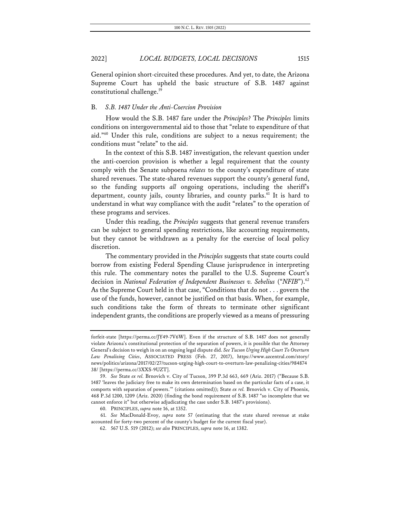General opinion short-circuited these procedures. And yet, to date, the Arizona Supreme Court has upheld the basic structure of S.B. 1487 against constitutional challenge.<sup>59</sup>

#### B. *S.B. 1487 Under the Anti-Coercion Provision*

How would the S.B. 1487 fare under the *Principles*? The *Principles* limits conditions on intergovernmental aid to those that "relate to expenditure of that aid."60 Under this rule, conditions are subject to a nexus requirement; the conditions must "relate" to the aid.

In the context of this S.B. 1487 investigation, the relevant question under the anti-coercion provision is whether a legal requirement that the county comply with the Senate subpoena *relates* to the county's expenditure of state shared revenues. The state-shared revenues support the county's general fund, so the funding supports *all* ongoing operations, including the sheriff's department, county jails, county libraries, and county parks.<sup>61</sup> It is hard to understand in what way compliance with the audit "relates" to the operation of these programs and services.

Under this reading, the *Principles* suggests that general revenue transfers can be subject to general spending restrictions, like accounting requirements, but they cannot be withdrawn as a penalty for the exercise of local policy discretion.

The commentary provided in the *Principles* suggests that state courts could borrow from existing Federal Spending Clause jurisprudence in interpreting this rule. The commentary notes the parallel to the U.S. Supreme Court's decision in *National Federation of Independent Businesses v. Sebelius* ("NFIB").<sup>62</sup> As the Supreme Court held in that case, "Conditions that do not . . . govern the use of the funds, however, cannot be justified on that basis. When, for example, such conditions take the form of threats to terminate other significant independent grants, the conditions are properly viewed as a means of pressuring

forfeit-state [https://perma.cc/JY49-7V6W]. Even if the structure of S.B. 1487 does not generally violate Arizona's constitutional protection of the separation of powers, it is possible that the Attorney General's decision to weigh in on an ongoing legal dispute did. *See Tucson Urging High Court To Overturn Law Penalizing Cities*, ASSOCIATED PRESS (Feb. 27, 2017), https://www.azcentral.com/story/ news/politics/arizona/2017/02/27/tucson-urging-high-court-to-overturn-law-penalizing-cities/984874 38/ [https://perma.cc/3XXS-9UZT].

<sup>59.</sup> *See* State *ex rel.* Brnovich v. City of Tucson, 399 P.3d 663, 669 (Ariz. 2017) ("Because S.B. 1487 'leaves the judiciary free to make its own determination based on the particular facts of a case, it comports with separation of powers.'" (citations omitted)); State *ex rel.* Brnovich v. City of Phoenix, 468 P.3d 1200, 1209 (Ariz. 2020) (finding the bond requirement of S.B. 1487 "so incomplete that we cannot enforce it" but otherwise adjudicating the case under S.B. 1487's provisions).

<sup>60.</sup> PRINCIPLES, *supra* note 16, at 1352.

<sup>61.</sup> *See* MacDonald-Evoy, *supra* note 57 (estimating that the state shared revenue at stake accounted for forty-two percent of the county's budget for the current fiscal year).

<sup>62.</sup> 567 U.S. 519 (2012); *see also* PRINCIPLES, *supra* note 16, at 1382.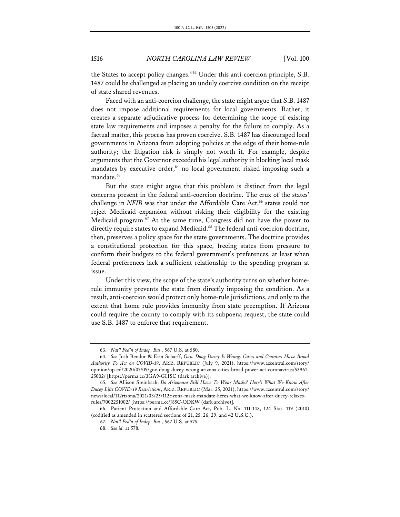the States to accept policy changes."63 Under this anti-coercion principle, S.B. 1487 could be challenged as placing an unduly coercive condition on the receipt of state shared revenues.

Faced with an anti-coercion challenge, the state might argue that S.B. 1487 does not impose additional requirements for local governments. Rather, it creates a separate adjudicative process for determining the scope of existing state law requirements and imposes a penalty for the failure to comply. As a factual matter, this process has proven coercive. S.B. 1487 has discouraged local governments in Arizona from adopting policies at the edge of their home-rule authority; the litigation risk is simply not worth it. For example, despite arguments that the Governor exceeded his legal authority in blocking local mask mandates by executive order,<sup>64</sup> no local government risked imposing such a mandate.<sup>65</sup>

But the state might argue that this problem is distinct from the legal concerns present in the federal anti-coercion doctrine. The crux of the states' challenge in *NFIB* was that under the Affordable Care Act,<sup>66</sup> states could not reject Medicaid expansion without risking their eligibility for the existing Medicaid program.<sup>67</sup> At the same time, Congress did not have the power to directly require states to expand Medicaid.<sup>68</sup> The federal anti-coercion doctrine, then, preserves a policy space for the state governments. The doctrine provides a constitutional protection for this space, freeing states from pressure to conform their budgets to the federal government's preferences, at least when federal preferences lack a sufficient relationship to the spending program at issue.

Under this view, the scope of the state's authority turns on whether homerule immunity prevents the state from directly imposing the condition. As a result, anti-coercion would protect only home-rule jurisdictions, and only to the extent that home rule provides immunity from state preemption. If Arizona could require the county to comply with its subpoena request, the state could use S.B. 1487 to enforce that requirement.

<sup>63.</sup> *Nat'l Fed'n of Indep. Bus.*, 567 U.S. at 580.

<sup>64.</sup> *See* Josh Bendor & Erin Scharff, *Gov. Doug Ducey Is Wrong. Cities and Counties Have Broad Authority To Act on COVID-19*, ARIZ. REPUBLIC (July 9, 2021), https://www.azcentral.com/story/ opinion/op-ed/2020/07/09/gov-doug-ducey-wrong-arizona-cities-broad-power-act-coronavirus/53961 25002/ [https://perma.cc/3GA9-GHSC (dark archive)].

<sup>65.</sup> *See* Allison Steinbach, *Do Arizonans Still Have To Wear Masks? Here's What We Know After Ducey Lifts COVID-19 Restrictions*, ARIZ. REPUBLIC (Mar. 25, 2021), https://www.azcentral.com/story/ news/local/112rizona/2021/03/25/112rizona-mask-mandate-heres-what-we-know-after-ducey-relaxesrules/7002251002/ [https://perma.cc/J85C-QDKW (dark archive)].

<sup>66.</sup> Patient Protection and Affordable Care Act, Pub. L. No. 111-148, 124 Stat. 119 (2010) (codified as amended in scattered sections of 21, 25, 26, 29, and 42 U.S.C.).

<sup>67.</sup> *Nat'l Fed'n of Indep. Bus.*, 567 U.S. at 575.

<sup>68.</sup> *See id.* at 578.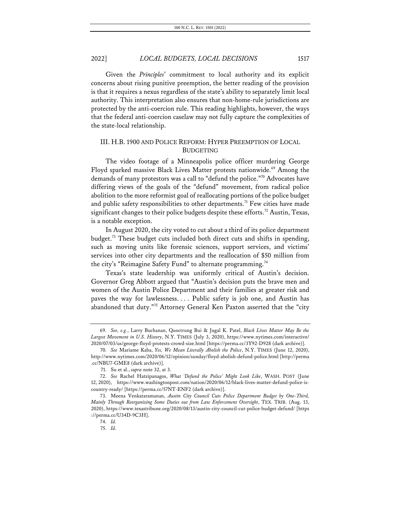Given the *Principles*' commitment to local authority and its explicit concerns about rising punitive preemption, the better reading of the provision is that it requires a nexus regardless of the state's ability to separately limit local authority. This interpretation also ensures that non-home-rule jurisdictions are protected by the anti-coercion rule. This reading highlights, however, the ways that the federal anti-coercion caselaw may not fully capture the complexities of the state-local relationship.

### III. H.B. 1900 AND POLICE REFORM: HYPER PREEMPTION OF LOCAL BUDGETING

The video footage of a Minneapolis police officer murdering George Floyd sparked massive Black Lives Matter protests nationwide.<sup>69</sup> Among the demands of many protestors was a call to "defund the police."70 Advocates have differing views of the goals of the "defund" movement, from radical police abolition to the more reformist goal of reallocating portions of the police budget and public safety responsibilities to other departments.<sup>71</sup> Few cities have made significant changes to their police budgets despite these efforts.<sup>72</sup> Austin, Texas, is a notable exception.

In August 2020, the city voted to cut about a third of its police department budget.73 These budget cuts included both direct cuts and shifts in spending, such as moving units like forensic sciences, support services, and victims' services into other city departments and the reallocation of \$50 million from the city's "Reimagine Safety Fund" to alternate programming.<sup>74</sup>

Texas's state leadership was uniformly critical of Austin's decision. Governor Greg Abbott argued that "Austin's decision puts the brave men and women of the Austin Police Department and their families at greater risk and paves the way for lawlessness. . . . Public safety is job one, and Austin has abandoned that duty."<sup>75</sup> Attorney General Ken Paxton asserted that the "city

<sup>69.</sup> *See, e.g.*, Larry Buchanan, Quoctrung Bui & Jugal K. Patel, *Black Lives Matter May Be the Largest Movement in U.S. History*, N.Y. TIMES (July 3, 2020), https://www.nytimes.com/interactive/ 2020/07/03/us/george-floyd-protests-crowd-size.html [https://perma.cc/3Y92-D928 (dark archive)].

<sup>70.</sup> *See* Mariame Kaba, *Yes, We Mean Literally Abolish the Police*, N.Y. TIMES (June 12, 2020), http://www.nytimes.com/2020/06/12/opinion/sunday/floyd-abolish-defund-police.html [http://perma .cc/NBU7-GME8 (dark archive)].

<sup>71.</sup> Su et al., *supra* note 32, at 3.

<sup>72.</sup> *See* Rachel Hatzipanagos, *What 'Defund the Police' Might Look Like*, WASH. POST (June 12, 2020), https://www.washingtonpost.com/nation/2020/06/12/black-lives-matter-defund-police-iscountry-ready/ [https://perma.cc/57NT-ENF2 (dark archive)].

<sup>73.</sup> Meena Venkataramanan, *Austin City Council Cuts Police Department Budget by One-Third, Mainly Through Reorganizing Some Duties out from Law Enforcement Oversight*, TEX. TRIB. (Aug. 13, 2020), https://www.texastribune.org/2020/08/13/austin-city-council-cut-police-budget-defund/ [https ://perma.cc/U34D-9C3H].

<sup>74.</sup> *Id.*

<sup>75.</sup> *Id.*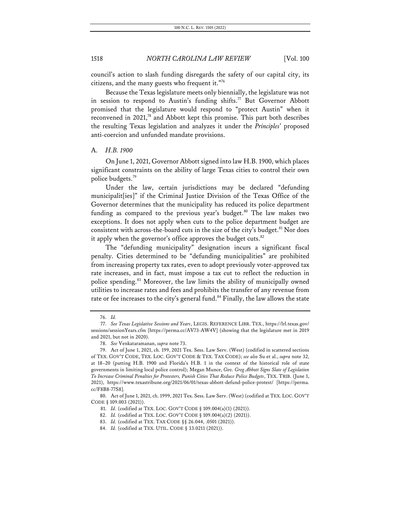council's action to slash funding disregards the safety of our capital city, its citizens, and the many guests who frequent it."76

Because the Texas legislature meets only biennially, the legislature was not in session to respond to Austin's funding shifts.<sup>77</sup> But Governor Abbott promised that the legislature would respond to "protect Austin" when it reconvened in 2021,<sup>78</sup> and Abbott kept this promise. This part both describes the resulting Texas legislation and analyzes it under the *Principles*' proposed anti-coercion and unfunded mandate provisions.

#### A. *H.B. 1900*

On June 1, 2021, Governor Abbott signed into law H.B. 1900, which places significant constraints on the ability of large Texas cities to control their own police budgets.79

Under the law, certain jurisdictions may be declared "defunding municipalit[ies]" if the Criminal Justice Division of the Texas Office of the Governor determines that the municipality has reduced its police department funding as compared to the previous year's budget. $80$  The law makes two exceptions. It does not apply when cuts to the police department budget are consistent with across-the-board cuts in the size of the city's budget.<sup>81</sup> Nor does it apply when the governor's office approves the budget cuts. $82$ 

The "defunding municipality" designation incurs a significant fiscal penalty. Cities determined to be "defunding municipalities" are prohibited from increasing property tax rates, even to adopt previously voter-approved tax rate increases, and in fact, must impose a tax cut to reflect the reduction in police spending.<sup>83</sup> Moreover, the law limits the ability of municipally owned utilities to increase rates and fees and prohibits the transfer of any revenue from rate or fee increases to the city's general fund.<sup>84</sup> Finally, the law allows the state

<sup>76.</sup> *Id.*

<sup>77.</sup> *See Texas Legislative Sessions and Years*, LEGIS. REFERENCE LIBR. TEX., https://lrl.texas.gov/ sessions/sessionYears.cfm [https://perma.cc/AV73-AW4V] (showing that the legislature met in 2019 and 2021, but not in 2020).

<sup>78.</sup> *See* Venkataramanan, *supra* note 73.

<sup>79.</sup> Act of June 1, 2021, ch. 199, 2021 Tex. Sess. Law Serv. (West) (codified in scattered sections of TEX. GOV'T CODE, TEX. LOC. GOV'T CODE & TEX. TAX CODE); *see also* Su et al., *supra* note 32, at 18–20 (putting H.B. 1900 and Florida's H.B. 1 in the context of the historical role of state governments in limiting local police control); Megan Munce, *Gov. Greg Abbott Signs Slate of Legislation To Increase Criminal Penalties for Protesters, Punish Cities That Reduce Police Budgets*, TEX. TRIB. (June 1, 2021), https://www.texastribune.org/2021/06/01/texas-abbott-defund-police-protest/ [https://perma. cc/F8B8-77S8].

<sup>80.</sup> Act of June 1, 2021, ch. 1999, 2021 Tex. Sess. Law Serv. (West) (codified at TEX. LOC. GOV'T CODE § 109.003 (2021)).

<sup>81.</sup> *Id.* (codified at TEX. LOC. GOV'T CODE § 109.004(a)(1) (2021)).

<sup>82.</sup> *Id.* (codified at TEX. LOC. GOV'T CODE § 109.004(a)(2) (2021)).

<sup>83.</sup> *Id.* (codified at TEX. TAX CODE §§ 26.044, .0501 (2021)).

<sup>84.</sup> *Id.* (codified at TEX. UTIL. CODE § 33.0211 (2021)).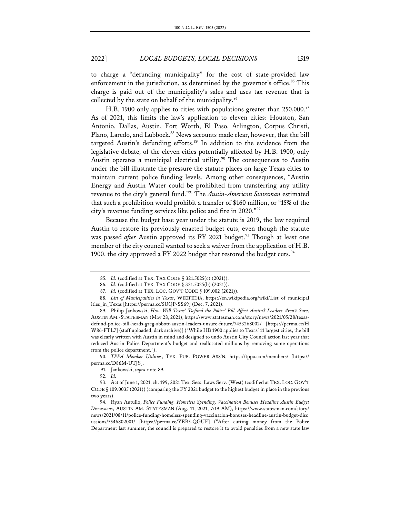to charge a "defunding municipality" for the cost of state-provided law enforcement in the jurisdiction, as determined by the governor's office.<sup>85</sup> This charge is paid out of the municipality's sales and uses tax revenue that is collected by the state on behalf of the municipality.<sup>86</sup>

H.B. 1900 only applies to cities with populations greater than 250,000.<sup>87</sup> As of 2021, this limits the law's application to eleven cities: Houston, San Antonio, Dallas, Austin, Fort Worth, El Paso, Arlington, Corpus Christi, Plano, Laredo, and Lubbock.<sup>88</sup> News accounts made clear, however, that the bill targeted Austin's defunding efforts.<sup>89</sup> In addition to the evidence from the legislative debate, of the eleven cities potentially affected by H.B. 1900, only Austin operates a municipal electrical utility.<sup>90</sup> The consequences to Austin under the bill illustrate the pressure the statute places on large Texas cities to maintain current police funding levels. Among other consequences, "Austin Energy and Austin Water could be prohibited from transferring any utility revenue to the city's general fund."91 The *Austin-American Statesman* estimated that such a prohibition would prohibit a transfer of \$160 million, or "15% of the city's revenue funding services like police and fire in 2020."92

Because the budget base year under the statute is 2019, the law required Austin to restore its previously enacted budget cuts, even though the statute was passed after Austin approved its FY 2021 budget.<sup>93</sup> Though at least one member of the city council wanted to seek a waiver from the application of H.B. 1900, the city approved a FY 2022 budget that restored the budget cuts.  $94$ 

<sup>85.</sup> *Id.* (codified at TEX. TAX CODE § 321.5025(c) (2021)).

<sup>86.</sup> *Id.* (codified at TEX. TAX CODE § 321.5025(b) (2021)).

<sup>87.</sup> *Id.* (codified at TEX. LOC. GOV'T CODE § 109.002 (2021)).

<sup>88.</sup> *List of Municipalities in Texas*, WIKIPEDIA, https://en.wikipedia.org/wiki/List\_of\_municipal ities\_in\_Texas [https://perma.cc/5UQP-SS69] (Dec. 7, 2021).

<sup>89.</sup> Philip Jankowski, *How Will Texas' 'Defund the Police' Bill Affect Austin? Leaders Aren't Sure*, AUSTIN AM.-STATESMAN (May 28, 2021), https://www.statesman.com/story/news/2021/05/28/texasdefund-police-bill-heads-greg-abbott-austin-leaders-unsure-future/7453268002/ [https://perma.cc/H W86-FTL7] (staff uploaded, dark archive)] ("While HB 1900 applies to Texas' 11 largest cities, the bill was clearly written with Austin in mind and designed to undo Austin City Council action last year that reduced Austin Police Department's budget and reallocated millions by removing some operations from the police department.").

<sup>90.</sup> *TPPA Member Utilities*, TEX. PUB. POWER ASS'N, https://tppa.com/members/ [https:// perma.cc/D86M-UTJS].

<sup>91.</sup> Jankowski, *supra* note 89.

<sup>92.</sup> *Id.*

<sup>93.</sup> Act of June 1, 2021, ch. 199, 2021 Tex. Sess. Laws Serv. (West) (codified at TEX. LOC. GOV'T CODE § 109.0035 (2021)) (comparing the FY 2021 budget to the highest budget in place in the previous two years).

<sup>94.</sup> Ryan Autullo, *Police Funding, Homeless Spending, Vaccination Bonuses Headline Austin Budget Discussions*, AUSTIN AM.-STATESMAN (Aug. 11, 2021, 7:19 AM), https://www.statesman.com/story/ news/2021/08/11/police-funding-homeless-spending-vaccination-bonuses-headline-austin-budget-disc ussions/5546802001/ [https://perma.cc/YEB5-QGUF] ("After cutting money from the Police Department last summer, the council is prepared to restore it to avoid penalties from a new state law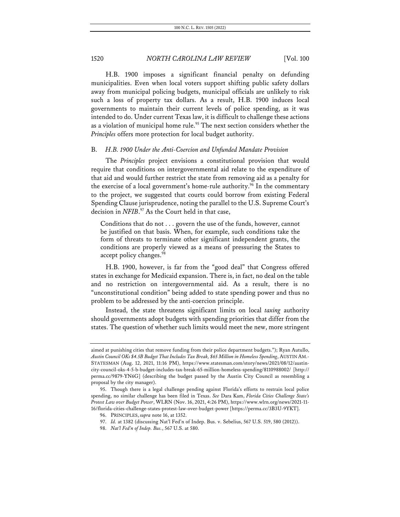H.B. 1900 imposes a significant financial penalty on defunding municipalities. Even when local voters support shifting public safety dollars away from municipal policing budgets, municipal officials are unlikely to risk such a loss of property tax dollars. As a result, H.B. 1900 induces local governments to maintain their current levels of police spending, as it was intended to do. Under current Texas law, it is difficult to challenge these actions as a violation of municipal home rule.<sup>95</sup> The next section considers whether the *Principles* offers more protection for local budget authority.

#### B. *H.B. 1900 Under the Anti-Coercion and Unfunded Mandate Provision*

The *Principles* project envisions a constitutional provision that would require that conditions on intergovernmental aid relate to the expenditure of that aid and would further restrict the state from removing aid as a penalty for the exercise of a local government's home-rule authority.<sup>96</sup> In the commentary to the project, we suggested that courts could borrow from existing Federal Spending Clause jurisprudence, noting the parallel to the U.S. Supreme Court's decision in *NFIB*. <sup>97</sup> As the Court held in that case,

Conditions that do not . . . govern the use of the funds, however, cannot be justified on that basis. When, for example, such conditions take the form of threats to terminate other significant independent grants, the conditions are properly viewed as a means of pressuring the States to accept policy changes.<sup>98</sup>

H.B. 1900, however, is far from the "good deal" that Congress offered states in exchange for Medicaid expansion. There is, in fact, no deal on the table and no restriction on intergovernmental aid. As a result, there is no "unconstitutional condition" being added to state spending power and thus no problem to be addressed by the anti-coercion principle.

Instead, the state threatens significant limits on local *taxing* authority should governments adopt budgets with spending priorities that differ from the states. The question of whether such limits would meet the new, more stringent

aimed at punishing cities that remove funding from their police department budgets."); Ryan Autullo, *Austin Council OKs \$4.5B Budget That Includes Tax Break, \$65 Million in Homeless Spending*, AUSTIN AM.- STATESMAN (Aug. 12, 2021, 11:16 PM), https://www.statesman.com/story/news/2021/08/12/austincity-council-oks-4-5-b-budget-includes-tax-break-65-million-homeless-spending/8110988002/ [http:// perma.cc/9879-YN6G] (describing the budget passed by the Austin City Council as resembling a proposal by the city manager).

<sup>95.</sup> Though there is a legal challenge pending against Florida's efforts to restrain local police spending, no similar challenge has been filed in Texas. *See* Dara Kam, *Florida Cities Challenge State's Protest Law over Budget Power*, WLRN (Nov. 16, 2021, 4:26 PM), https://www.wlrn.org/news/2021-11- 16/florida-cities-challenge-states-protest-law-over-budget-power [https://perma.cc/3B3U-9YKT].

<sup>96.</sup> PRINCIPLES, *supra* note 16, at 1352.

<sup>97.</sup> *Id.* at 1382 (discussing Nat'l Fed'n of Indep. Bus. v. Sebelius, 567 U.S. 519, 580 (2012)).

<sup>98.</sup> *Nat'l Fed'n of Indep. Bus.*, 567 U.S. at 580.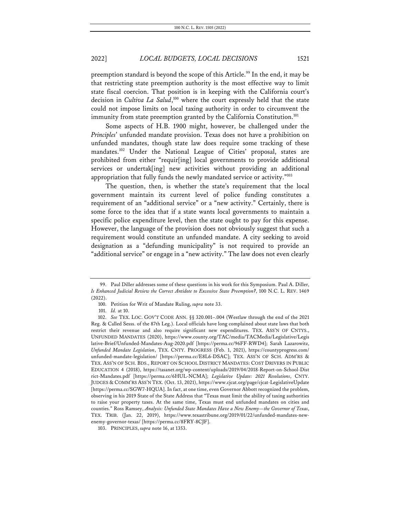preemption standard is beyond the scope of this Article. <sup>99</sup> In the end, it may be that restricting state preemption authority is the most effective way to limit state fiscal coercion. That position is in keeping with the California court's decision in *Cultiva La Salud*, <sup>100</sup> where the court expressly held that the state could not impose limits on local taxing authority in order to circumvent the immunity from state preemption granted by the California Constitution.<sup>101</sup>

Some aspects of H.B. 1900 might, however, be challenged under the *Principles*' unfunded mandate provision. Texas does not have a prohibition on unfunded mandates, though state law does require some tracking of these mandates.<sup>102</sup> Under the National League of Cities' proposal, states are prohibited from either "requir[ing] local governments to provide additional services or undertak[ing] new activities without providing an additional appropriation that fully funds the newly mandated service or activity."103

The question, then, is whether the state's requirement that the local government maintain its current level of police funding constitutes a requirement of an "additional service" or a "new activity." Certainly, there is some force to the idea that if a state wants local governments to maintain a specific police expenditure level, then the state ought to pay for this expense. However, the language of the provision does not obviously suggest that such a requirement would constitute an unfunded mandate. A city seeking to avoid designation as a "defunding municipality" is not required to provide an "additional service" or engage in a "new activity." The law does not even clearly

<sup>99.</sup> Paul Diller addresses some of these questions in his work for this Symposium. Paul A. Diller, *Is Enhanced Judicial Review the Correct Antidote to Excessive State Preemption?*, 100 N.C. L. REV. 1469 (2022).

<sup>100.</sup> Petition for Writ of Mandate Ruling, *supra* note 33.

<sup>101.</sup> *Id.* at 10.

<sup>102.</sup> *See* TEX. LOC. GOV'T CODE ANN. §§ 320.001–.004 (Westlaw through the end of the 2021 Reg. & Called Sesss. of the 87th Leg.). Local officials have long complained about state laws that both restrict their revenue and also require significant new expenditures. TEX. ASS'N OF CNTYS., UNFUNDED MANDATES (2020), https://www.county.org/TAC/media/TACMedia/Legislative/Legis lative-Brief/Unfunded-Mandates-Aug-2020.pdf [https://perma.cc/96FF-RWD4]; Sarah Lazarowitz, *Unfunded Mandate Legislation*, TEX. CNTY. PROGRESS (Feb. 1, 2021), https://countyprogress.com/ unfunded-mandate-legislation/ [https://perma.cc/E8L6-DSAC]; TEX. ASS'N OF SCH. ADM'RS & TEX. ASS'N OF SCH. BDS., REPORT ON SCHOOL DISTRICT MANDATES: COST DRIVERS IN PUBLIC EDUCATION 4 (2018), https://tasanet.org/wp-content/uploads/2019/04/2018-Report-on-School-Dist rict-Mandates.pdf [https://perma.cc/6HUL-NCMA]; *Legislative Update: 2021 Resolutions*, CNTY. JUDGES & COMM'RS ASS'N TEX. (Oct. 13, 2021), https://www.cjcat.org/page/cjcat-LegislativeUpdate [https://perma.cc/SGW7-HQUA]. In fact, at one time, even Governor Abbott recognized the problem, observing in his 2019 State of the State Address that "Texas must limit the ability of taxing authorities to raise your property taxes. At the same time, Texas must end unfunded mandates on cities and counties." Ross Ramsey, *Analysis: Unfunded State Mandates Have a New Enemy—the Governor of Texas*, TEX. TRIB. (Jan. 22, 2019), https://www.texastribune.org/2019/01/22/unfunded-mandates-newenemy-governor-texas/ [https://perma.cc/8FRY-8CJF].

<sup>103.</sup> PRINCIPLES, *supra* note 16, at 1353.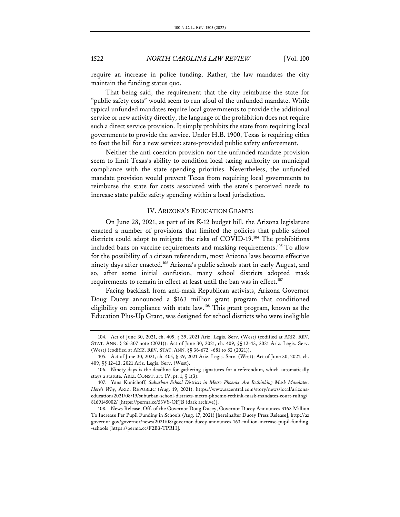require an increase in police funding. Rather, the law mandates the city maintain the funding status quo.

That being said, the requirement that the city reimburse the state for "public safety costs" would seem to run afoul of the unfunded mandate. While typical unfunded mandates require local governments to provide the additional service or new activity directly, the language of the prohibition does not require such a direct service provision. It simply prohibits the state from requiring local governments to provide the service. Under H.B. 1900, Texas is requiring cities to foot the bill for a new service: state-provided public safety enforcement.

Neither the anti-coercion provision nor the unfunded mandate provision seem to limit Texas's ability to condition local taxing authority on municipal compliance with the state spending priorities. Nevertheless, the unfunded mandate provision would prevent Texas from requiring local governments to reimburse the state for costs associated with the state's perceived needs to increase state public safety spending within a local jurisdiction.

#### IV. ARIZONA'S EDUCATION GRANTS

On June 28, 2021, as part of its K-12 budget bill, the Arizona legislature enacted a number of provisions that limited the policies that public school districts could adopt to mitigate the risks of COVID-19.104 The prohibitions included bans on vaccine requirements and masking requirements. <sup>105</sup> To allow for the possibility of a citizen referendum, most Arizona laws become effective ninety days after enacted.106 Arizona's public schools start in early August, and so, after some initial confusion, many school districts adopted mask requirements to remain in effect at least until the ban was in effect. $107$ 

Facing backlash from anti-mask Republican activists, Arizona Governor Doug Ducey announced a \$163 million grant program that conditioned eligibility on compliance with state law.<sup>108</sup> This grant program, known as the Education Plus-Up Grant, was designed for school districts who were ineligible

<sup>104.</sup> Act of June 30, 2021, ch. 405, § 39, 2021 Ariz. Legis. Serv. (West) (codified at ARIZ. REV. STAT. ANN. § 26-307 note (2021)); Act of June 30, 2021, ch. 409, §§ 12–13, 2021 Ariz. Legis. Serv. (West) (codified at ARIZ. REV. STAT. ANN. §§ 36-672, -681 to 82 (2021)).

<sup>105.</sup> Act of June 30, 2021, ch. 405, § 39, 2021 Ariz. Legis. Serv. (West); Act of June 30, 2021, ch. 409, §§ 12–13, 2021 Ariz. Legis. Serv. (West).

<sup>106.</sup> Ninety days is the deadline for gathering signatures for a referendum, which automatically stays a statute. ARIZ. CONST. art. IV, pt. 1, § 1(3).

<sup>107.</sup> Yana Kunichoff, *Suburban School Districts in Metro Phoenix Are Rethinking Mask Mandates. Here's Why*, ARIZ. REPUBLIC (Aug. 19, 2021), https://www.azcentral.com/story/news/local/arizonaeducation/2021/08/19/suburban-school-districts-metro-phoenix-rethink-mask-mandates-court-ruling/ 8169145002/ [https://perma.cc/53VS-QFJB (dark archive)].

<sup>108.</sup> News Release, Off. of the Governor Doug Ducey, Governor Ducey Announces \$163 Million To Increase Per Pupil Funding in Schools (Aug. 17, 2021) [hereinafter Ducey Press Release], http://az governor.gov/governor/news/2021/08/governor-ducey-announces-163-million-increase-pupil-funding -schools [https://perma.cc/F2B3-TPRH].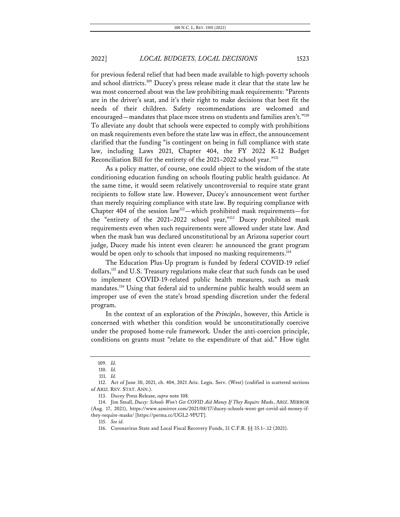for previous federal relief that had been made available to high-poverty schools and school districts.109 Ducey's press release made it clear that the state law he was most concerned about was the law prohibiting mask requirements: "Parents are in the driver's seat, and it's their right to make decisions that best fit the needs of their children. Safety recommendations are welcomed and encouraged—mandates that place more stress on students and families aren't."<sup>110</sup> To alleviate any doubt that schools were expected to comply with prohibitions on mask requirements even before the state law was in effect, the announcement clarified that the funding "is contingent on being in full compliance with state law, including Laws 2021, Chapter 404, the FY 2022 K-12 Budget Reconciliation Bill for the entirety of the 2021–2022 school year."<sup>111</sup>

As a policy matter, of course, one could object to the wisdom of the state conditioning education funding on schools flouting public health guidance. At the same time, it would seem relatively uncontroversial to require state grant recipients to follow state law. However, Ducey's announcement went further than merely requiring compliance with state law. By requiring compliance with Chapter 404 of the session law<sup>112</sup>—which prohibited mask requirements—for the "entirety of the 2021–2022 school year,"113 Ducey prohibited mask requirements even when such requirements were allowed under state law. And when the mask ban was declared unconstitutional by an Arizona superior court judge, Ducey made his intent even clearer: he announced the grant program would be open only to schools that imposed no masking requirements.<sup>114</sup>

The Education Plus-Up program is funded by federal COVID-19 relief dollars,115 and U.S. Treasury regulations make clear that such funds can be used to implement COVID-19-related public health measures, such as mask mandates.<sup>116</sup> Using that federal aid to undermine public health would seem an improper use of even the state's broad spending discretion under the federal program.

In the context of an exploration of the *Principles*, however, this Article is concerned with whether this condition would be unconstitutionally coercive under the proposed home-rule framework. Under the anti-coercion principle, conditions on grants must "relate to the expenditure of that aid." How tight

<sup>109.</sup> *Id.*

<sup>110.</sup> *Id.*

<sup>111.</sup> *Id.*

<sup>112.</sup> Act of June 30, 2021, ch. 404, 2021 Ariz. Legis. Serv. (West) (codified in scattered sections of ARIZ. REV. STAT. ANN.).

<sup>113.</sup> Ducey Press Release, *supra* note 108.

<sup>114.</sup> Jim Small, *Ducey: Schools Won't Get COVID Aid Money If They Require Masks*, ARIZ. MIRROR (Aug. 17, 2021), https://www.azmirror.com/2021/08/17/ducey-schools-wont-get-covid-aid-money-ifthey-require-masks/ [https://perma.cc/UGL2-9PUT].

<sup>115.</sup> *See id.*

<sup>116.</sup> Coronavirus State and Local Fiscal Recovery Funds, 31 C.F.R. §§ 35.1–.12 (2021).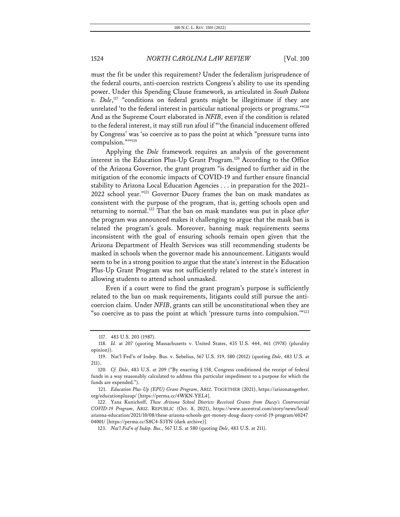must the fit be under this requirement? Under the federalism jurisprudence of the federal courts, anti-coercion restricts Congress's ability to use its spending power. Under this Spending Clause framework, as articulated in *South Dakota v. Dole*, <sup>117</sup> "conditions on federal grants might be illegitimate if they are unrelated 'to the federal interest in particular national projects or programs.'"118 And as the Supreme Court elaborated in *NFIB*, even if the condition is related to the federal interest, it may still run afoul if "'the financial inducement offered by Congress' was 'so coercive as to pass the point at which "pressure turns into compulsion.""<sup>119</sup>

Applying the *Dole* framework requires an analysis of the government interest in the Education Plus-Up Grant Program.<sup>120</sup> According to the Office of the Arizona Governor, the grant program "is designed to further aid in the mitigation of the economic impacts of COVID-19 and further ensure financial stability to Arizona Local Education Agencies . . . in preparation for the 2021– 2022 school year."121 Governor Ducey frames the ban on mask mandates as consistent with the purpose of the program, that is, getting schools open and returning to normal.122 That the ban on mask mandates was put in place *after* the program was announced makes it challenging to argue that the mask ban is related the program's goals. Moreover, banning mask requirements seems inconsistent with the goal of ensuring schools remain open given that the Arizona Department of Health Services was still recommending students be masked in schools when the governor made his announcement. Litigants would seem to be in a strong position to argue that the state's interest in the Education Plus-Up Grant Program was not sufficiently related to the state's interest in allowing students to attend school unmasked.

Even if a court were to find the grant program's purpose is sufficiently related to the ban on mask requirements, litigants could still pursue the anticoercion claim. Under *NFIB*, grants can still be unconstitutional when they are "so coercive as to pass the point at which 'pressure turns into compulsion.'"123

<sup>117.</sup> 483 U.S. 203 (1987).

<sup>118.</sup> *Id.* at 207 (quoting Massachusetts v. United States, 435 U.S. 444, 461 (1978) (plurality opinion)).

<sup>119.</sup> Nat'l Fed'n of Indep. Bus. v. Sebelius, 567 U.S. 519, 580 (2012) (quoting *Dole*, 483 U.S. at 211).

<sup>120.</sup> *Cf. Dole*, 483 U.S. at 209 ("By enacting § 158, Congress conditioned the receipt of federal funds in a way reasonably calculated to address this particular impediment to a purpose for which the funds are expended.").

<sup>121.</sup> *Education Plus-Up (EPU) Grant Program*, ARIZ. TOGETHER (2021), https://arizonatogether. org/educationplusup/ [https://perma.cc/4WKN-YEL4].

<sup>122.</sup> Yana Kunichoff, *These Arizona School Districts Received Grants from Ducey's Controversial COVID-19 Program*, ARIZ. REPUBLIC (Oct. 8, 2021), https://www.azcentral.com/story/news/local/ arizona-education/2021/10/08/these-arizona-schools-got-money-doug-ducey-covid-19-program/60247 04001/ [https://perma.cc/S8C4-S3YN (dark archive)].

<sup>123.</sup> *Nat'l Fed'n of Indep. Bus.*, 567 U.S. at 580 (quoting *Dole*, 483 U.S. at 211).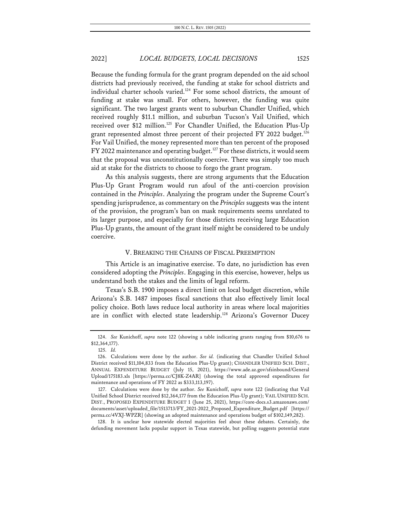Because the funding formula for the grant program depended on the aid school districts had previously received, the funding at stake for school districts and individual charter schools varied.<sup>124</sup> For some school districts, the amount of funding at stake was small. For others, however, the funding was quite significant. The two largest grants went to suburban Chandler Unified, which received roughly \$11.1 million, and suburban Tucson's Vail Unified, which received over \$12 million.<sup>125</sup> For Chandler Unified, the Education Plus-Up grant represented almost three percent of their projected FY 2022 budget.<sup>126</sup> For Vail Unified, the money represented more than ten percent of the proposed FY 2022 maintenance and operating budget.<sup>127</sup> For these districts, it would seem that the proposal was unconstitutionally coercive. There was simply too much aid at stake for the districts to choose to forgo the grant program.

As this analysis suggests, there are strong arguments that the Education Plus-Up Grant Program would run afoul of the anti-coercion provision contained in the *Principles*. Analyzing the program under the Supreme Court's spending jurisprudence, as commentary on the *Principles* suggests was the intent of the provision, the program's ban on mask requirements seems unrelated to its larger purpose, and especially for those districts receiving large Education Plus-Up grants, the amount of the grant itself might be considered to be unduly coercive.

### V. BREAKING THE CHAINS OF FISCAL PREEMPTION

This Article is an imaginative exercise. To date, no jurisdiction has even considered adopting the *Principles*. Engaging in this exercise, however, helps us understand both the stakes and the limits of legal reform.

Texas's S.B. 1900 imposes a direct limit on local budget discretion, while Arizona's S.B. 1487 imposes fiscal sanctions that also effectively limit local policy choice. Both laws reduce local authority in areas where local majorities are in conflict with elected state leadership.<sup>128</sup> Arizona's Governor Ducey

128. It is unclear how statewide elected majorities feel about these debates. Certainly, the defunding movement lacks popular support in Texas statewide, but polling suggests potential state

<sup>124.</sup> *See* Kunichoff, *supra* note 122 (showing a table indicating grants ranging from \$10,676 to \$12,364,177).

<sup>125.</sup> *Id.*

<sup>126.</sup> Calculations were done by the author. *See id.* (indicating that Chandler Unified School District received \$11,104,833 from the Education Plus-Up grant); CHANDLER UNIFIED SCH. DIST., ANNUAL EXPENDITURE BUDGET (July 15, 2021), https://www.ade.az.gov/sfsinbound/General Upload/175183.xls [https://perma.cc/CJ8K-Z4AR] (showing the total approved expenditures for maintenance and operations of FY 2022 as \$333,113,197).

<sup>127.</sup> Calculations were done by the author. *See* Kunichoff, *supra* note 122 (indicating that Vail Unified School District received \$12,364,177 from the Education Plus-Up grant); VAIL UNIFIED SCH. DIST., PROPOSED EXPENDITURE BUDGET 1 (June 25, 2021), https://core-docs.s3.amazonaws.com/ documents/asset/uploaded\_file/1513713/FY\_2021-2022\_Proposed\_Expenditure\_Budget.pdf [https:// perma.cc/4VXJ-WPZR] (showing an adopted maintenance and operations budget of \$102,149,282).